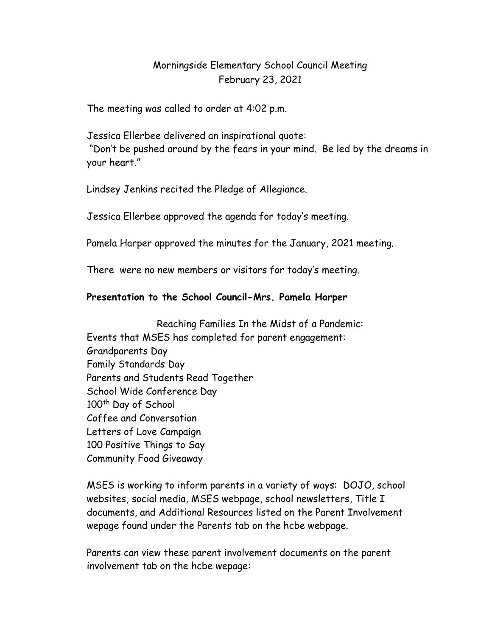## Morningside Elementary School Council Meeting February 23, 2021

The meeting was called to order at 4:02 p.m.

Jessica Ellerbee delivered an inspirational quote:

 "Don't be pushed around by the fears in your mind. Be led by the dreams in your heart."

Lindsey Jenkins recited the Pledge of Allegiance.

Jessica Ellerbee approved the agenda for today's meeting.

Pamela Harper approved the minutes for the January, 2021 meeting.

There were no new members or visitors for today's meeting.

## Presentation to the School Council-Mrs. Pamela Harper

Reaching Families In the Midst of a Pandemic: Events that MSES has completed for parent engagement: Grandparents Day Family Standards Day Parents and Students Read Together School Wide Conference Day 100<sup>th</sup> Day of School Coffee and Conversation Letters of Love Campaign 100 Positive Things to Say Community Food Giveaway

MSES is working to inform parents in a variety of ways: DOJO, school websites, social media, MSES webpage, school newsletters, Title I documents, and Additional Resources listed on the Parent Involvement wepage found under the Parents tab on the hcbe webpage.

Parents can view these parent involvement documents on the parent involvement tab on the hcbe wepage: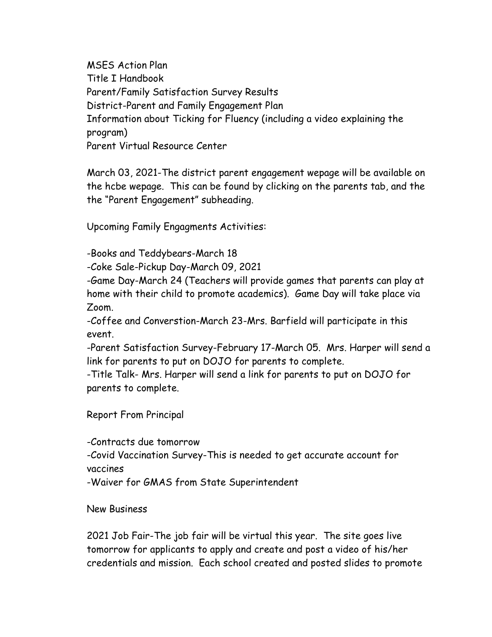MSES Action Plan Title I Handbook Parent/Family Satisfaction Survey Results District-Parent and Family Engagement Plan Information about Ticking for Fluency (including a video explaining the program) Parent Virtual Resource Center

March 03, 2021-The district parent engagement wepage will be available on the hcbe wepage. This can be found by clicking on the parents tab, and the the "Parent Engagement" subheading.

Upcoming Family Engagments Activities:

-Books and Teddybears-March 18

-Coke Sale-Pickup Day-March 09, 2021

-Game Day-March 24 (Teachers will provide games that parents can play at home with their child to promote academics). Game Day will take place via Zoom.

-Coffee and Converstion-March 23-Mrs. Barfield will participate in this event.

-Parent Satisfaction Survey-February 17-March 05. Mrs. Harper will send a link for parents to put on DOJO for parents to complete.

-Title Talk- Mrs. Harper will send a link for parents to put on DOJO for parents to complete.

Report From Principal

-Contracts due tomorrow

-Covid Vaccination Survey-This is needed to get accurate account for vaccines

-Waiver for GMAS from State Superintendent

New Business

2021 Job Fair-The job fair will be virtual this year. The site goes live tomorrow for applicants to apply and create and post a video of his/her credentials and mission. Each school created and posted slides to promote